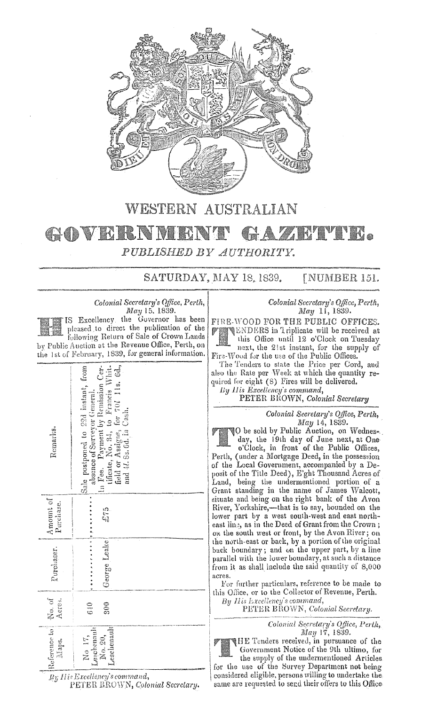

## WESTERN AUSTRALIAN

## GOVERNMI **ZAMMNR** H) PUBLISHED BY AUTHORITY.

SATURDAY, MAY 18, 1839. [NUMBER 151.

Colonial Secretary's Office, Perth, May 15, 1839.

IS Excellency the Governor has been pleased to direct the publication of the following Return of Sale of Crown Lands by Public Auction at the Revenue Office, Perth, on the 1st of February, 1839, for general information.

| Remarks.                | field or Assigns, for 701 11s. 6d., and 41. Ss. 6d. Cash.<br>In Pee. Payment by Remission Cer-<br>tificate, No. 34, to Francis Whit-<br>Sale postponed to 22d instant, from<br>absence of Surveyor General. |  |
|-------------------------|-------------------------------------------------------------------------------------------------------------------------------------------------------------------------------------------------------------|--|
| Amount of<br>Purchase.  | رم<br>مراجع                                                                                                                                                                                                 |  |
| Purchaser.              | .<br>George Leake                                                                                                                                                                                           |  |
| No. of<br>Acres.        | 300<br>$\frac{1}{6}$                                                                                                                                                                                        |  |
| Reference to l<br>Maps. | Leschenault<br>Leschenault<br>No. 20,<br>No IT,                                                                                                                                                             |  |

By His Excellency's command, PETER BROWN, Colonial Secretary.

## Colonial Secretary's Office, Perth, May 11, 1839.

FIRE-WOOD FOR THE PUBLIC OFFICES. **WENDERS** in 1 riplicate will be received at

this Office until 12 o'Clock on Tuesday next, the 21st instant, for the supply of Fire-Wood for the use of the Public Offices.

The Tenders to state the Price per Cord, and also the Rate per Week at which the quantity required for eight (8) Fires will be delivered. Bu His Excellency's command.

PETER BROWN, Colonial Secretary

Colonial Secretary's Office, Perth,<br>May 14, 1839.

**O** be sold by Public Auction, on Wedness day, the 19th day of June next, at Oneo'Clock, in front of the Public Offices, Perth, (under a Mortgage Deed, in the possession of the Local Government, accompanied by a Deposit of the Title Deed), E'ght Thousand Acres of Land, being the undermentioned portion of a Grant standing in the name of James Walcott, situate and being on the right bank of the Avon River, Yorkshire,—that is to say, bounded on the lower part by a west south-west and east northeast line, as in the Deed of Grant from the Crown; on the south west or front, by the Avon River; on the north-east or back, by a portion of the original back boundary; and on the upper part, by a line parallel with the lower boundary, at such a distance from it as shall include the said quantity of 8,000 acres.

For further particulars, reference to be made to this Office, or to the Collector of Revenue, Perth.

By His Excellency's command,

PETER BROWN, Colonial Secretary.

Colonial Secretary's Office, Perth, Мау 17, 1839.

**IHE** Tenders received, in pursuance of the Government Notice of the 9th ultimo, for the supply of the undermentioned Articles for the use of the Survey Department not being considered eligible, persons willing to undertake the same are requested to send their offers to this Office